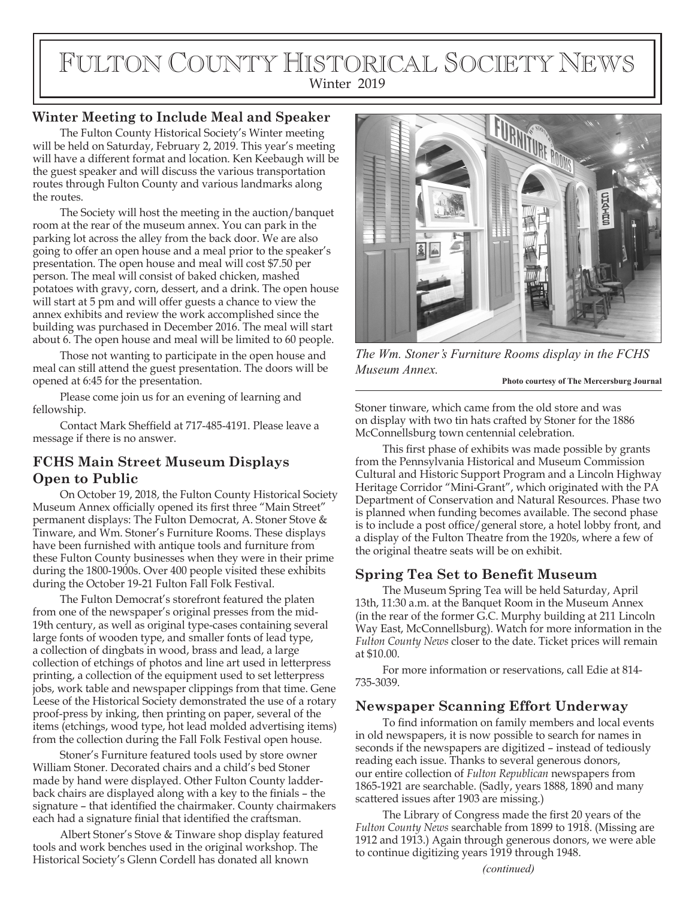# FULTON COUNTY HISTORICAL SOCIETY NEWS Winter 2019

# **Winter Meeting to Include Meal and Speaker**

The Fulton County Historical Society's Winter meeting will be held on Saturday, February 2, 2019. This year's meeting will have a different format and location. Ken Keebaugh will be the guest speaker and will discuss the various transportation routes through Fulton County and various landmarks along the routes.

The Society will host the meeting in the auction/banquet room at the rear of the museum annex. You can park in the parking lot across the alley from the back door. We are also going to offer an open house and a meal prior to the speaker's presentation. The open house and meal will cost \$7.50 per person. The meal will consist of baked chicken, mashed potatoes with gravy, corn, dessert, and a drink. The open house will start at 5 pm and will offer guests a chance to view the annex exhibits and review the work accomplished since the building was purchased in December 2016. The meal will start about 6. The open house and meal will be limited to 60 people.

Those not wanting to participate in the open house and meal can still attend the guest presentation. The doors will be opened at 6:45 for the presentation.

Please come join us for an evening of learning and fellowship.

Contact Mark Sheffield at 717-485-4191. Please leave a message if there is no answer.

# **FCHS Main Street Museum Displays Open to Public**

On October 19, 2018, the Fulton County Historical Society Museum Annex officially opened its first three "Main Street" permanent displays: The Fulton Democrat, A. Stoner Stove & Tinware, and Wm. Stoner's Furniture Rooms. These displays have been furnished with antique tools and furniture from these Fulton County businesses when they were in their prime during the 1800-1900s. Over 400 people visited these exhibits during the October 19-21 Fulton Fall Folk Festival.

The Fulton Democrat's storefront featured the platen from one of the newspaper's original presses from the mid-19th century, as well as original type-cases containing several large fonts of wooden type, and smaller fonts of lead type, a collection of dingbats in wood, brass and lead, a large collection of etchings of photos and line art used in letterpress printing, a collection of the equipment used to set letterpress jobs, work table and newspaper clippings from that time. Gene Leese of the Historical Society demonstrated the use of a rotary proof-press by inking, then printing on paper, several of the items (etchings, wood type, hot lead molded advertising items) from the collection during the Fall Folk Festival open house.

Stoner's Furniture featured tools used by store owner William Stoner. Decorated chairs and a child's bed Stoner made by hand were displayed. Other Fulton County ladderback chairs are displayed along with a key to the finials – the signature – that identified the chairmaker. County chairmakers each had a signature finial that identified the craftsman.

Albert Stoner's Stove & Tinware shop display featured tools and work benches used in the original workshop. The Historical Society's Glenn Cordell has donated all known *(continued)*



*The Wm. Stoner's Furniture Rooms display in the FCHS Museum Annex.*

**Photo courtesy of The Mercersburg Journal**

Stoner tinware, which came from the old store and was on display with two tin hats crafted by Stoner for the 1886 McConnellsburg town centennial celebration.

This first phase of exhibits was made possible by grants from the Pennsylvania Historical and Museum Commission Cultural and Historic Support Program and a Lincoln Highway Heritage Corridor "Mini-Grant", which originated with the PA Department of Conservation and Natural Resources. Phase two is planned when funding becomes available. The second phase is to include a post office/general store, a hotel lobby front, and a display of the Fulton Theatre from the 1920s, where a few of the original theatre seats will be on exhibit.

# **Spring Tea Set to Benefit Museum**

The Museum Spring Tea will be held Saturday, April 13th, 11:30 a.m. at the Banquet Room in the Museum Annex (in the rear of the former G.C. Murphy building at 211 Lincoln Way East, McConnellsburg). Watch for more information in the *Fulton County News* closer to the date. Ticket prices will remain at \$10.00.

For more information or reservations, call Edie at 814- 735-3039.

# **Newspaper Scanning Effort Underway**

To find information on family members and local events in old newspapers, it is now possible to search for names in seconds if the newspapers are digitized – instead of tediously reading each issue. Thanks to several generous donors, our entire collection of *Fulton Republican* newspapers from 1865-1921 are searchable. (Sadly, years 1888, 1890 and many scattered issues after 1903 are missing.)

The Library of Congress made the first 20 years of the *Fulton County News* searchable from 1899 to 1918. (Missing are 1912 and 1913.) Again through generous donors, we were able to continue digitizing years 1919 through 1948.